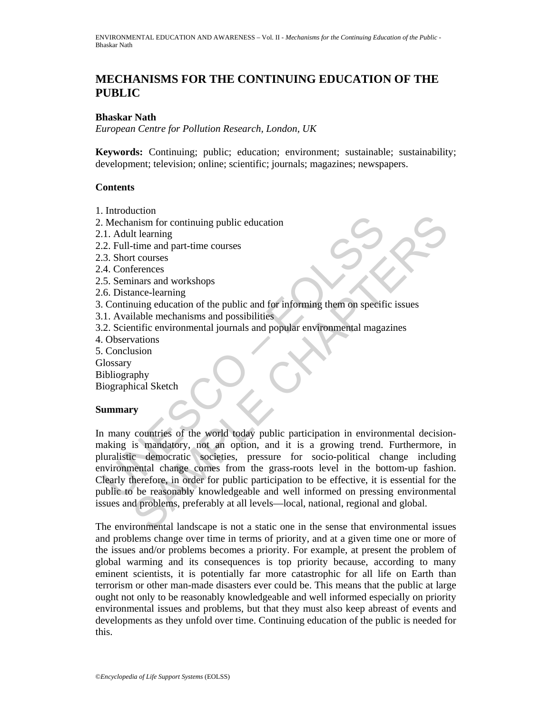# **MECHANISMS FOR THE CONTINUING EDUCATION OF THE PUBLIC**

#### **Bhaskar Nath**

*European Centre for Pollution Research, London, UK* 

**Keywords:** Continuing; public; education; environment; sustainable; sustainability; development; television; online; scientific; journals; magazines; newspapers.

#### **Contents**

- 1. Introduction
- 2. Mechanism for continuing public education
- 2.1. Adult learning
- 2.2. Full-time and part-time courses
- 2.3. Short courses
- 2.4. Conferences
- 2.5. Seminars and workshops
- 2.6. Distance-learning
- 3. Continuing education of the public and for informing them on specific issues
- 3.1. Available mechanisms and possibilities
- 3.2. Scientific environmental journals and popular environmental magazines
- 4. Observations
- 5. Conclusion
- **Glossary**
- Bibliography
- Biographical Sketch

#### **Summary**

Mechanism for continuing public education<br>
1. Adult learning<br>
2. Full-time and part-time courses<br>
3. Short courses<br>
4. Conferences<br>
5. Seminars and workshops<br>
6. Distance-learning<br>
4. Continuing education of the public and Exercise<br>
in for continuing public education<br>
It learning<br>
time and part-time courses<br>
t courses<br>
terences<br>
terences<br>
terences<br>
terences<br>
terences<br>
terences<br>
terences<br>
terences<br>
terences<br>
and of the public and for informin In many countries of the world today public participation in environmental decisionmaking is mandatory, not an option, and it is a growing trend. Furthermore, in pluralistic democratic societies, pressure for socio-political change including environmental change comes from the grass-roots level in the bottom-up fashion. Clearly therefore, in order for public participation to be effective, it is essential for the public to be reasonably knowledgeable and well informed on pressing environmental issues and problems, preferably at all levels—local, national, regional and global.

The environmental landscape is not a static one in the sense that environmental issues and problems change over time in terms of priority, and at a given time one or more of the issues and/or problems becomes a priority. For example, at present the problem of global warming and its consequences is top priority because, according to many eminent scientists, it is potentially far more catastrophic for all life on Earth than terrorism or other man-made disasters ever could be. This means that the public at large ought not only to be reasonably knowledgeable and well informed especially on priority environmental issues and problems, but that they must also keep abreast of events and developments as they unfold over time. Continuing education of the public is needed for this.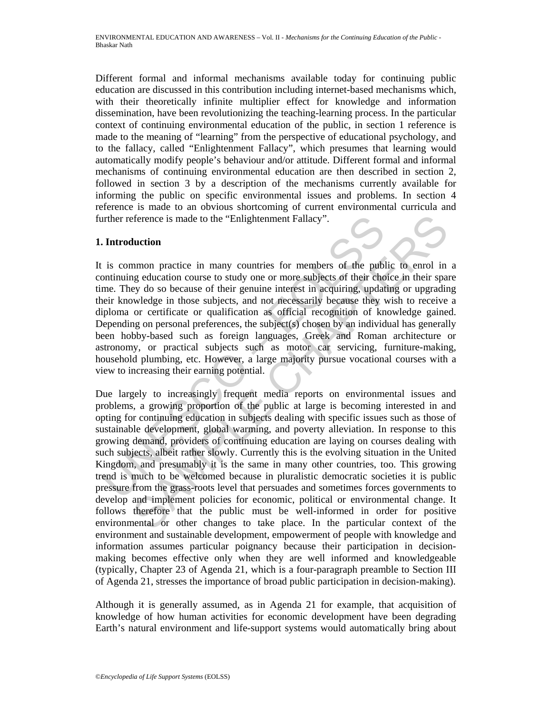Different formal and informal mechanisms available today for continuing public education are discussed in this contribution including internet-based mechanisms which, with their theoretically infinite multiplier effect for knowledge and information dissemination, have been revolutionizing the teaching-learning process. In the particular context of continuing environmental education of the public, in section 1 reference is made to the meaning of "learning" from the perspective of educational psychology, and to the fallacy, called "Enlightenment Fallacy", which presumes that learning would automatically modify people's behaviour and/or attitude. Different formal and informal mechanisms of continuing environmental education are then described in section 2, followed in section 3 by a description of the mechanisms currently available for informing the public on specific environmental issues and problems. In section 4 reference is made to an obvious shortcoming of current environmental curricula and further reference is made to the "Enlightenment Fallacy".

# **1. Introduction**

The proving electron in subjects dealing with specific ences<br>
in the province is many countries for members of the publication<br>
is common practice in many countries for members of their chome.<br>
They do so because of their It is common practice in many countries for members of the public to enrol in a continuing education course to study one or more subjects of their choice in their spare time. They do so because of their genuine interest in acquiring, updating or upgrading their knowledge in those subjects, and not necessarily because they wish to receive a diploma or certificate or qualification as official recognition of knowledge gained. Depending on personal preferences, the subject(s) chosen by an individual has generally been hobby-based such as foreign languages, Greek and Roman architecture or astronomy, or practical subjects such as motor car servicing, furniture-making, household plumbing, etc. However, a large majority pursue vocational courses with a view to increasing their earning potential.

ference is made to the "Enlightenment Fallacy".<br> **Luction**<br>
Inmon practice in many countries for members of the public to enrol in<br>
ge education course to study one or more subjects of their choice in their spa<br>
ge do so b Due largely to increasingly frequent media reports on environmental issues and problems, a growing proportion of the public at large is becoming interested in and opting for continuing education in subjects dealing with specific issues such as those of sustainable development, global warming, and poverty alleviation. In response to this growing demand, providers of continuing education are laying on courses dealing with such subjects, albeit rather slowly. Currently this is the evolving situation in the United Kingdom, and presumably it is the same in many other countries, too. This growing trend is much to be welcomed because in pluralistic democratic societies it is public pressure from the grass-roots level that persuades and sometimes forces governments to develop and implement policies for economic, political or environmental change. It follows therefore that the public must be well-informed in order for positive environmental or other changes to take place. In the particular context of the environment and sustainable development, empowerment of people with knowledge and information assumes particular poignancy because their participation in decisionmaking becomes effective only when they are well informed and knowledgeable (typically, Chapter 23 of Agenda 21, which is a four-paragraph preamble to Section III of Agenda 21, stresses the importance of broad public participation in decision-making).

Although it is generally assumed, as in Agenda 21 for example, that acquisition of knowledge of how human activities for economic development have been degrading Earth's natural environment and life-support systems would automatically bring about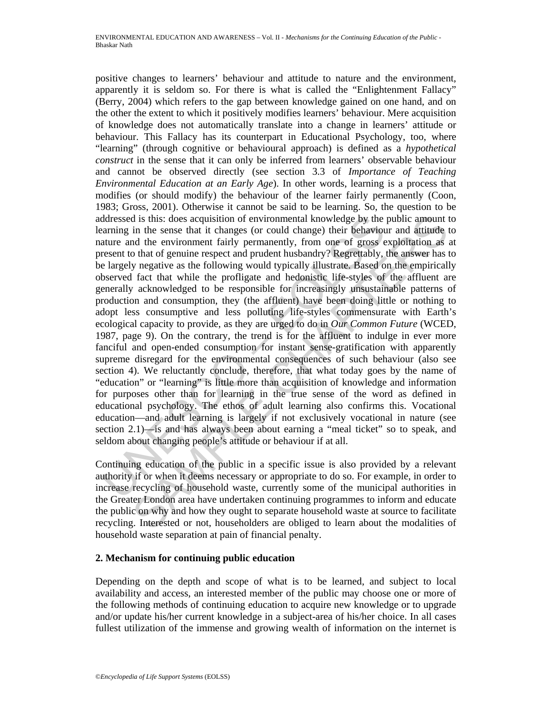ddressed is this: does acquisition of environmental knowledge by the araming in the sense that it changes (or could change) their behavioure and the environment fairly permanently, from one of gross eresent to that of genu d is this: does acquisition of environmental knowledge by the public amount the sense that it changes (or could change) their behaviour and attitude the veriromment fairly permanently, from one of gross exploitation as o positive changes to learners' behaviour and attitude to nature and the environment, apparently it is seldom so. For there is what is called the "Enlightenment Fallacy" (Berry, 2004) which refers to the gap between knowledge gained on one hand, and on the other the extent to which it positively modifies learners' behaviour. Mere acquisition of knowledge does not automatically translate into a change in learners' attitude or behaviour. This Fallacy has its counterpart in Educational Psychology, too, where "learning" (through cognitive or behavioural approach) is defined as a *hypothetical construct* in the sense that it can only be inferred from learners' observable behaviour and cannot be observed directly (see section 3.3 of *Importance of Teaching Environmental Education at an Early Age*). In other words, learning is a process that modifies (or should modify) the behaviour of the learner fairly permanently (Coon, 1983; Gross, 2001). Otherwise it cannot be said to be learning. So, the question to be addressed is this: does acquisition of environmental knowledge by the public amount to learning in the sense that it changes (or could change) their behaviour and attitude to nature and the environment fairly permanently, from one of gross exploitation as at present to that of genuine respect and prudent husbandry? Regrettably, the answer has to be largely negative as the following would typically illustrate. Based on the empirically observed fact that while the profligate and hedonistic life-styles of the affluent are generally acknowledged to be responsible for increasingly unsustainable patterns of production and consumption, they (the affluent) have been doing little or nothing to adopt less consumptive and less polluting life-styles commensurate with Earth's ecological capacity to provide, as they are urged to do in *Our Common Future* (WCED, 1987, page 9). On the contrary, the trend is for the affluent to indulge in ever more fanciful and open-ended consumption for instant sense-gratification with apparently supreme disregard for the environmental consequences of such behaviour (also see section 4). We reluctantly conclude, therefore, that what today goes by the name of "education" or "learning" is little more than acquisition of knowledge and information for purposes other than for learning in the true sense of the word as defined in educational psychology. The ethos of adult learning also confirms this. Vocational education—and adult learning is largely if not exclusively vocational in nature (see section 2.1)—is and has always been about earning a "meal ticket" so to speak, and seldom about changing people's attitude or behaviour if at all.

Continuing education of the public in a specific issue is also provided by a relevant authority if or when it deems necessary or appropriate to do so. For example, in order to increase recycling of household waste, currently some of the municipal authorities in the Greater London area have undertaken continuing programmes to inform and educate the public on why and how they ought to separate household waste at source to facilitate recycling. Interested or not, householders are obliged to learn about the modalities of household waste separation at pain of financial penalty.

#### **2. Mechanism for continuing public education**

Depending on the depth and scope of what is to be learned, and subject to local availability and access, an interested member of the public may choose one or more of the following methods of continuing education to acquire new knowledge or to upgrade and/or update his/her current knowledge in a subject-area of his/her choice. In all cases fullest utilization of the immense and growing wealth of information on the internet is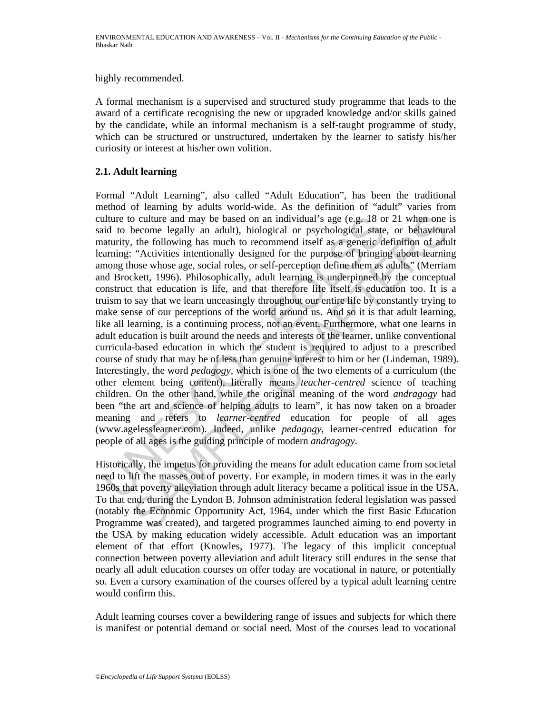highly recommended.

A formal mechanism is a supervised and structured study programme that leads to the award of a certificate recognising the new or upgraded knowledge and/or skills gained by the candidate, while an informal mechanism is a self-taught programme of study, which can be structured or unstructured, undertaken by the learner to satisfy his/her curiosity or interest at his/her own volition.

# **2.1. Adult learning**

ulture to culture and may be based on an individual's age (e.g. 18 or<br>id to become legally an adult), biological or psychological state<br>attantity, the following has much to recommend itself as a generic dat-<br>attantiny; "Ac become legally an adult), biological or psychological state, or behaviour.<br>the following has much to recommend itself as a generic definition of adult (biological state, or behaviour equalt), biological or psychological s Formal "Adult Learning", also called "Adult Education", has been the traditional method of learning by adults world-wide. As the definition of "adult" varies from culture to culture and may be based on an individual's age (e.g. 18 or 21 when one is said to become legally an adult), biological or psychological state, or behavioural maturity, the following has much to recommend itself as a generic definition of adult learning: "Activities intentionally designed for the purpose of bringing about learning among those whose age, social roles, or self-perception define them as adults" (Merriam and Brockett, 1996). Philosophically, adult learning is underpinned by the conceptual construct that education is life, and that therefore life itself is education too. It is a truism to say that we learn unceasingly throughout our entire life by constantly trying to make sense of our perceptions of the world around us. And so it is that adult learning, like all learning, is a continuing process, not an event. Furthermore, what one learns in adult education is built around the needs and interests of the learner, unlike conventional curricula-based education in which the student is required to adjust to a prescribed course of study that may be of less than genuine interest to him or her (Lindeman, 1989). Interestingly, the word *pedagogy,* which is one of the two elements of a curriculum (the other element being content), literally means *teacher-centred* science of teaching children. On the other hand, while the original meaning of the word *andragogy* had been "the art and science of helping adults to learn", it has now taken on a broader meaning and refers to *learner-centred* education for people of all ages (www.agelesslearner.com). Indeed, unlike *pedagogy*, learner-centred education for people of all ages is the guiding principle of modern *andragogy*.

Historically, the impetus for providing the means for adult education came from societal need to lift the masses out of poverty. For example, in modern times it was in the early 1960s that poverty alleviation through adult literacy became a political issue in the USA. To that end, during the Lyndon B. Johnson administration federal legislation was passed (notably the Economic Opportunity Act, 1964, under which the first Basic Education Programme was created), and targeted programmes launched aiming to end poverty in the USA by making education widely accessible. Adult education was an important element of that effort (Knowles, 1977). The legacy of this implicit conceptual connection between poverty alleviation and adult literacy still endures in the sense that nearly all adult education courses on offer today are vocational in nature, or potentially so. Even a cursory examination of the courses offered by a typical adult learning centre would confirm this.

Adult learning courses cover a bewildering range of issues and subjects for which there is manifest or potential demand or social need. Most of the courses lead to vocational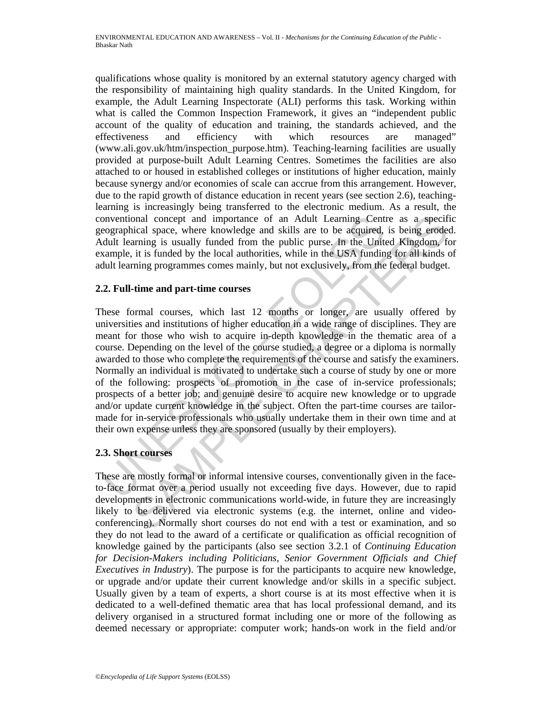qualifications whose quality is monitored by an external statutory agency charged with the responsibility of maintaining high quality standards. In the United Kingdom, for example, the Adult Learning Inspectorate (ALI) performs this task. Working within what is called the Common Inspection Framework, it gives an "independent public account of the quality of education and training, the standards achieved, and the effectiveness and efficiency with which resources are managed" (www.ali.gov.uk/htm/inspection\_purpose.htm). Teaching-learning facilities are usually provided at purpose-built Adult Learning Centres. Sometimes the facilities are also attached to or housed in established colleges or institutions of higher education, mainly because synergy and/or economies of scale can accrue from this arrangement. However, due to the rapid growth of distance education in recent years (see section 2.6), teachinglearning is increasingly being transferred to the electronic medium. As a result, the conventional concept and importance of an Adult Learning Centre as a specific geographical space, where knowledge and skills are to be acquired, is being eroded. Adult learning is usually funded from the public purse. In the United Kingdom, for example, it is funded by the local authorities, while in the USA funding for all kinds of adult learning programmes comes mainly, but not exclusively, from the federal budget.

# **2.2. Full-time and part-time courses**

moventional concept and importance of an Adult Learning Cent<br>cographical space, where knowledge and skills are to be acquired,<br>dult learning is usually funded from the public pures. In the Unit<br>axample, it is funded by the onal concept and importance of an Adult Learning Centre as a specific<br>inclusing acc, where knowledge and skills are to be acquired, is being eredder<br>arming is usually funded from the public purse. In the United Kingdom, fo These formal courses, which last 12 months or longer, are usually offered by universities and institutions of higher education in a wide range of disciplines. They are meant for those who wish to acquire in-depth knowledge in the thematic area of a course. Depending on the level of the course studied, a degree or a diploma is normally awarded to those who complete the requirements of the course and satisfy the examiners. Normally an individual is motivated to undertake such a course of study by one or more of the following: prospects of promotion in the case of in-service professionals; prospects of a better job; and genuine desire to acquire new knowledge or to upgrade and/or update current knowledge in the subject. Often the part-time courses are tailormade for in-service professionals who usually undertake them in their own time and at their own expense unless they are sponsored (usually by their employers).

# **2.3. Short courses**

These are mostly formal or informal intensive courses, conventionally given in the faceto-face format over a period usually not exceeding five days. However, due to rapid developments in electronic communications world-wide, in future they are increasingly likely to be delivered via electronic systems (e.g. the internet, online and videoconferencing). Normally short courses do not end with a test or examination, and so they do not lead to the award of a certificate or qualification as official recognition of knowledge gained by the participants (also see section 3.2.1 of *Continuing Education*  for Decision-Makers including Politicians, Senior Government Officials and Chief *Executives in Industry*). The purpose is for the participants to acquire new knowledge, or upgrade and/or update their current knowledge and/or skills in a specific subject. Usually given by a team of experts, a short course is at its most effective when it is dedicated to a well-defined thematic area that has local professional demand, and its delivery organised in a structured format including one or more of the following as deemed necessary or appropriate: computer work; hands-on work in the field and/or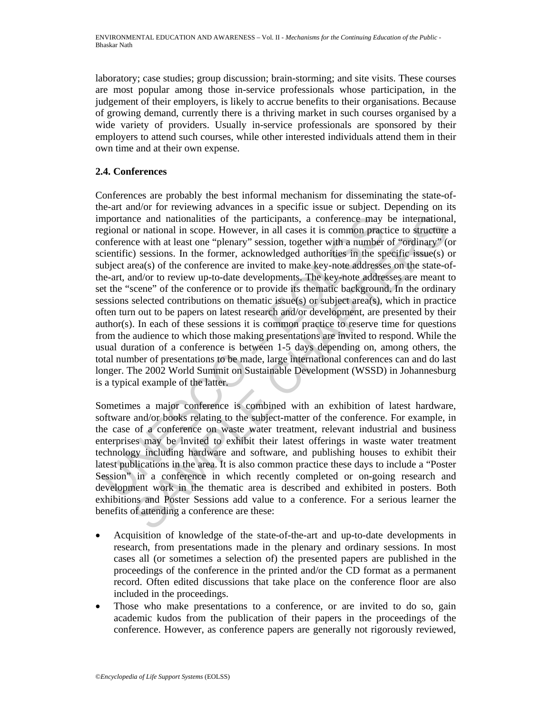laboratory; case studies; group discussion; brain-storming; and site visits. These courses are most popular among those in-service professionals whose participation, in the judgement of their employers, is likely to accrue benefits to their organisations. Because of growing demand, currently there is a thriving market in such courses organised by a wide variety of providers. Usually in-service professionals are sponsored by their employers to attend such courses, while other interested individuals attend them in their own time and at their own expense.

# **2.4. Conferences**

mportance and nationalities of the participants, a conference may<br>gigional or national in scope. However, in all cases it is common pract<br>enferred with a least one "plenary" essions, together with a number<br>interlific) sess cc and nationalities of the participants, a conference may be international<br>or or national in scope. However, in all cases it is common practice to structure<br>cc with at least one "plenary" session, together with a number o Conferences are probably the best informal mechanism for disseminating the state-ofthe-art and/or for reviewing advances in a specific issue or subject. Depending on its importance and nationalities of the participants, a conference may be international, regional or national in scope. However, in all cases it is common practice to structure a conference with at least one "plenary" session, together with a number of "ordinary" (or scientific) sessions. In the former, acknowledged authorities in the specific issue(s) or subject area(s) of the conference are invited to make key-note addresses on the state-ofthe-art, and/or to review up-to-date developments. The key-note addresses are meant to set the "scene" of the conference or to provide its thematic background. In the ordinary sessions selected contributions on thematic issue(s) or subject area(s), which in practice often turn out to be papers on latest research and/or development, are presented by their author(s). In each of these sessions it is common practice to reserve time for questions from the audience to which those making presentations are invited to respond. While the usual duration of a conference is between 1-5 days depending on, among others, the total number of presentations to be made, large international conferences can and do last longer. The 2002 World Summit on Sustainable Development (WSSD) in Johannesburg is a typical example of the latter.

Sometimes a major conference is combined with an exhibition of latest hardware, software and/or books relating to the subject-matter of the conference. For example, in the case of a conference on waste water treatment, relevant industrial and business enterprises may be invited to exhibit their latest offerings in waste water treatment technology including hardware and software, and publishing houses to exhibit their latest publications in the area. It is also common practice these days to include a "Poster Session" in a conference in which recently completed or on-going research and development work in the thematic area is described and exhibited in posters. Both exhibitions and Poster Sessions add value to a conference. For a serious learner the benefits of attending a conference are these:

- Acquisition of knowledge of the state-of-the-art and up-to-date developments in research, from presentations made in the plenary and ordinary sessions. In most cases all (or sometimes a selection of) the presented papers are published in the proceedings of the conference in the printed and/or the CD format as a permanent record. Often edited discussions that take place on the conference floor are also included in the proceedings.
- Those who make presentations to a conference, or are invited to do so, gain academic kudos from the publication of their papers in the proceedings of the conference. However, as conference papers are generally not rigorously reviewed,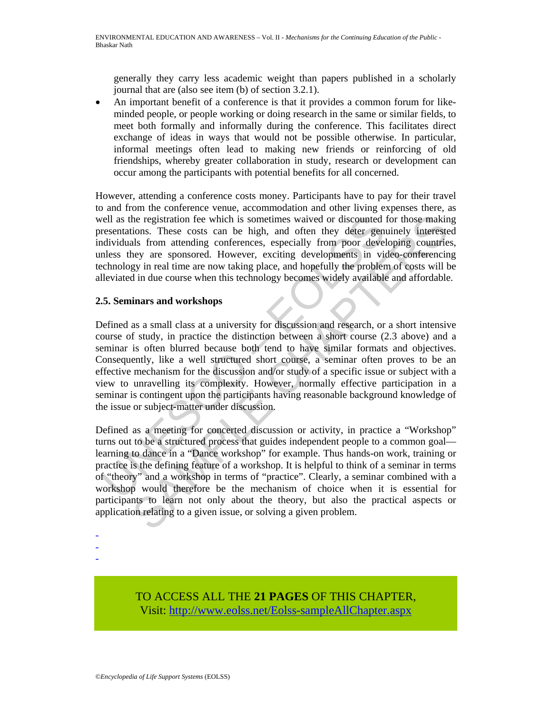generally they carry less academic weight than papers published in a scholarly journal that are (also see item (b) of section 3.2.1).

• An important benefit of a conference is that it provides a common forum for likeminded people, or people working or doing research in the same or similar fields, to meet both formally and informally during the conference. This facilitates direct exchange of ideas in ways that would not be possible otherwise. In particular, informal meetings often lead to making new friends or reinforcing of old friendships, whereby greater collaboration in study, research or development can occur among the participants with potential benefits for all concerned.

However, attending a conference costs money. Participants have to pay for their travel to and from the conference venue, accommodation and other living expenses there, as well as the registration fee which is sometimes waived or discounted for those making presentations. These costs can be high, and often they deter genuinely interested individuals from attending conferences, especially from poor developing countries, unless they are sponsored. However, exciting developments in video-conferencing technology in real time are now taking place, and hopefully the problem of costs will be alleviated in due course when this technology becomes widely available and affordable.

# **2.5. Seminars and workshops**

Figure 1 as the registration fee which is sometimes waived or discounted<br>resentations. These costs can be high, and often they deter gent<br>dividuals from attending conferences, especially from poor developments<br>alter gentle Defined as a small class at a university for discussion and research, or a short intensive course of study, in practice the distinction between a short course (2.3 above) and a seminar is often blurred because both tend to have similar formats and objectives. Consequently, like a well structured short course, a seminar often proves to be an effective mechanism for the discussion and/or study of a specific issue or subject with a view to unravelling its complexity. However, normally effective participation in a seminar is contingent upon the participants having reasonable background knowledge of the issue or subject-matter under discussion.

he registration fee which is sometimes waived or discounted for those makin<br>ions. These costs can be high, and often they deter genuinely interest<br>estimals from attending conferences, especially from poor developing countr Defined as a meeting for concerted discussion or activity, in practice a "Workshop" turns out to be a structured process that guides independent people to a common goal learning to dance in a "Dance workshop" for example. Thus hands-on work, training or practice is the defining feature of a workshop. It is helpful to think of a seminar in terms of "theory" and a workshop in terms of "practice". Clearly, a seminar combined with a workshop would therefore be the mechanism of choice when it is essential for participants to learn not only about the theory, but also the practical aspects or application relating to a given issue, or solving a given problem.

- -
- -

TO ACCESS ALL THE **21 PAGES** OF THIS CHAPTER, Visit[: http://www.eolss.net/Eolss-sampleAllChapter.aspx](https://www.eolss.net/ebooklib/sc_cart.aspx?File=E4-16-06-03)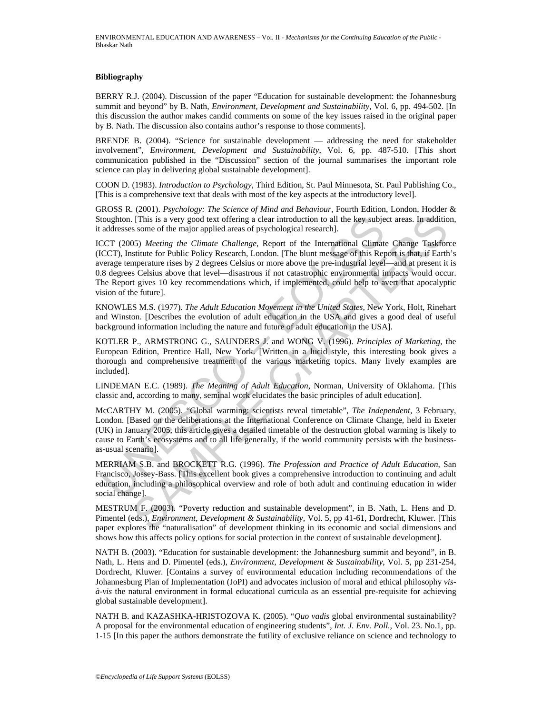#### **Bibliography**

BERRY R.J. (2004). Discussion of the paper "Education for sustainable development: the Johannesburg summit and beyond" by B. Nath, *Environment, Development and Sustainability*, Vol. 6, pp. 494-502. [In this discussion the author makes candid comments on some of the key issues raised in the original paper by B. Nath. The discussion also contains author's response to those comments].

BRENDE B. (2004). "Science for sustainable development — addressing the need for stakeholder involvement", *Environment, Development and Sustainability*, Vol. 6, pp. 487-510. [This short communication published in the "Discussion" section of the journal summarises the important role science can play in delivering global sustainable development].

COON D. (1983). *Introduction to Psychology*, Third Edition, St. Paul Minnesota, St. Paul Publishing Co., [This is a comprehensive text that deals with most of the key aspects at the introductory level].

GROSS R. (2001). *Psychology: The Science of Mind and Behaviour*, Fourth Edition, London, Hodder & Stoughton. [This is a very good text offering a clear introduction to all the key subject areas. In addition, it addresses some of the major applied areas of psychological research].

oughton. [This is a very good text offering a clear introduction to all the key subjet<br>addresses some of the major applied areas of psychological research].<br>CCT (2005) Meeting the Climate Challenge, Report of the Internati . (This is a very good text offering a clear introduction to all the key subject areas. In addition some of the major applied areas of psychological research]. Some of the major applied areas of psychological research (Sp ICCT (2005) *Meeting the Climate Challenge*, Report of the International Climate Change Taskforce (ICCT), Institute for Public Policy Research, London. [The blunt message of this Report is that, if Earth's average temperature rises by 2 degrees Celsius or more above the pre-industrial level—and at present it is 0.8 degrees Celsius above that level—disastrous if not catastrophic environmental impacts would occur. The Report gives 10 key recommendations which, if implemented, could help to avert that apocalyptic vision of the future].

KNOWLES M.S. (1977). *The Adult Education Movement in the United States*, New York, Holt, Rinehart and Winston. [Describes the evolution of adult education in the USA and gives a good deal of useful background information including the nature and future of adult education in the USA].

KOTLER P., ARMSTRONG G., SAUNDERS J. and WONG V. (1996). *Principles of Marketing*, the European Edition, Prentice Hall, New York. [Written in a lucid style, this interesting book gives a thorough and comprehensive treatment of the various marketing topics. Many lively examples are included].

LINDEMAN E.C. (1989). *The Meaning of Adult Education*, Norman, University of Oklahoma. [This classic and, according to many, seminal work elucidates the basic principles of adult education].

McCARTHY M. (2005). "Global warming: scientists reveal timetable", *The Independent*, 3 February, London. [Based on the deliberations at the International Conference on Climate Change, held in Exeter (UK) in January 2005, this article gives a detailed timetable of the destruction global warming is likely to cause to Earth's ecosystems and to all life generally, if the world community persists with the businessas-usual scenario].

MERRIAM S.B. and BROCKETT R.G. (1996). *The Profession and Practice of Adult Education*, San Francisco, Jossey-Bass. [This excellent book gives a comprehensive introduction to continuing and adult education, including a philosophical overview and role of both adult and continuing education in wider social change].

MESTRUM F. (2003). "Poverty reduction and sustainable development", in B. Nath, L. Hens and D. Pimentel (eds.), *Environment, Development & Sustainability*, Vol. 5, pp 41-61, Dordrecht, Kluwer. [This paper explores the "naturalisation" of development thinking in its economic and social dimensions and shows how this affects policy options for social protection in the context of sustainable development].

NATH B. (2003). "Education for sustainable development: the Johannesburg summit and beyond", in B. Nath, L. Hens and D. Pimentel (eds.), *Environment, Development & Sustainability*, Vol. 5, pp 231-254, Dordrecht, Kluwer. [Contains a survey of environmental education including recommendations of the Johannesburg Plan of Implementation (JoPI) and advocates inclusion of moral and ethical philosophy *visà-vis* the natural environment in formal educational curricula as an essential pre-requisite for achieving global sustainable development].

NATH B. and KAZASHKA-HRISTOZOVA K. (2005). "*Quo vadis* global environmental sustainability? A proposal for the environmental education of engineering students", *Int. J. Env. Poll.,* Vol. 23. No.1, pp. 1-15 [In this paper the authors demonstrate the futility of exclusive reliance on science and technology to